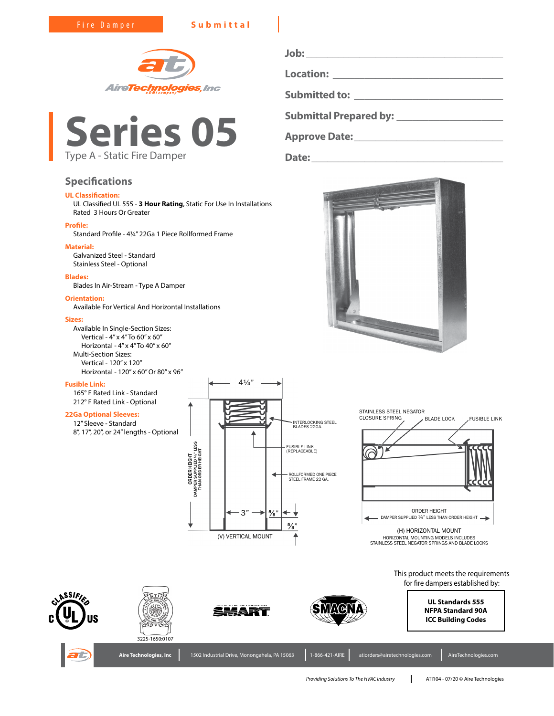Fire Damper **Submittal**





# **Specifications**

# **UL Classification:**

UL Classified UL 555 - **3 Hour Rating**, Static For Use In Installations Rated 3 Hours Or Greater

## **Profile:**

Standard Profile - 4¼" 22Ga 1 Piece Rollformed Frame

## **Material:**

Galvanized Steel - Standard Stainless Steel - Optional

#### **Blades:**

Blades In Air-Stream - Type A Damper

# **Orientation:**

Available For Vertical And Horizontal Installations

#### **Sizes:**

Available In Single-Section Sizes: Vertical - 4" x 4" To 60" x 60" Horizontal - 4" x 4" To 40" x 60" Multi-Section Sizes: Vertical - 120" x 120" Horizontal - 120" x 60" Or 80" x 96"

### **Fusible Link:**

165° F Rated Link - Standard 212° F Rated Link - Optional

# **22Ga Optional Sleeves:**

12" Sleeve - Standard 8", 17", 20", or 24" lengths - Optional





**Job: \_\_\_\_\_\_\_\_\_\_\_\_\_\_\_\_\_\_\_\_\_\_\_\_\_\_\_\_\_\_\_\_\_\_\_\_\_**

**Submittal Prepared by: \_\_\_\_\_\_\_\_\_\_\_\_\_\_\_\_\_\_\_\_**

**Approve Date:\_\_\_\_\_\_\_\_\_\_\_\_\_\_\_\_\_\_\_\_\_\_\_\_\_\_\_\_**

**Date:\_\_\_\_\_\_\_\_\_\_\_\_\_\_\_\_\_\_\_\_\_\_\_\_\_\_\_\_\_\_\_\_\_\_\_\_**

**Location: \_\_\_\_\_\_\_\_\_\_\_\_\_\_\_\_\_\_\_\_\_\_\_\_\_\_\_\_\_\_\_\_**

**Submitted to: \_\_\_\_\_\_\_\_\_\_\_\_\_\_\_\_\_\_\_\_\_\_\_\_\_\_\_\_**

HORIZONTAL MOUNTING MODELS INCLUDES STAINLESS STEEL NEGATOR SPRINGS AND BLADE LOCKS

> This product meets the requirements for fire dampers established by:





**Aire Technologies, Inc | 1502 Industrial Drive, Monongahe** 





**UL Standards 555 NFPA Standard 90A ICC Building Codes**

| a. PA 15063 | 1-866-421-AIRE | atiorders@airetechnologies.com | AireTechnologies.c |
|-------------|----------------|--------------------------------|--------------------|
|             |                |                                |                    |

*Providing Solutions To The HVAC Industry* ATI104 - 07/20 © Aire Technologies